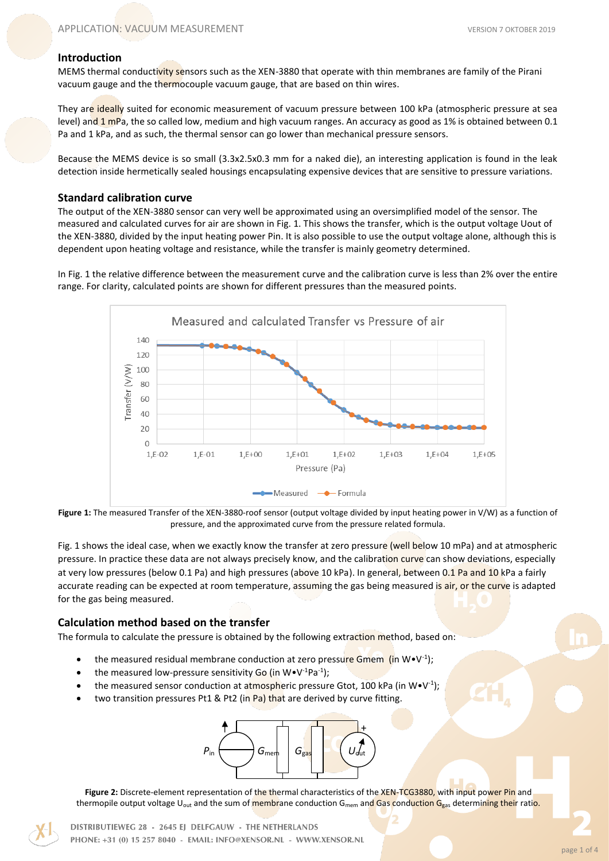## **Introduction**

MEMS thermal conductivity sensors such as the XEN-3880 that operate with thin membranes are family of the Pirani vacuum gauge and the thermocouple vacuum gauge, that are based on thin wires.

They are ideally suited for economic measurement of vacuum pressure between 100 kPa (atmospheric pressure at sea level) and 1 mPa, the so called low, medium and high vacuum ranges. An accuracy as good as 1% is obtained between 0.1 Pa and 1 kPa, and as such, the thermal sensor can go lower than mechanical pressure sensors.

Because the MEMS device is so small (3.3x2.5x0.3 mm for a naked die), an interesting application is found in the leak detection inside hermetically sealed housings encapsulating expensive devices that are sensitive to pressure variations.

## **Standard calibration curve**

The output of the XEN-3880 sensor can very well be approximated using an oversimplified model of the sensor. The measured and calculated curves for air are shown in Fig. 1. This shows the transfer, which is the output voltage Uout of the XEN-3880, divided by the input heating power Pin. It is also possible to use the output voltage alone, although this is dependent upon heating voltage and resistance, while the transfer is mainly geometry determined.

In Fig. 1 the relative difference between the measurement curve and the calibration curve is less than 2% over the entire range. For clarity, calculated points are shown for different pressures than the measured points.





Fig. 1 shows the ideal case, when we exactly know the transfer at zero pressure (well below 10 mPa) and at atmospheric pressure. In practice these data are not always precisely know, and the calibration curve can show deviations, especially at very low pressures (below 0.1 Pa) and high pressures (above 10 kPa). In general, between 0.1 Pa and 10 kPa a fairly accurate reading can be expected at room temperature, assuming the gas being measured is air, or the curve is adapted for the gas being measured.

# **Calculation method based on the transfer**

The formula to calculate the pressure is obtained by the following extraction method, based on:

- the measured residual membrane conduction at zero pressure Gmem (in W•V<sup>-1</sup>);
- the measured low-pressure sensitivity Go (in  $W \cdot V^{-1} P a^{-1}$ );
- the measured sensor conduction at atmospheric pressure Gtot, 100 kPa (in W $\cdot$ V<sup>-1</sup>);
- two transition pressures Pt1 & Pt2 (in Pa) that are derived by curve fitting.



**Figure 2:** Discrete-element representation of the thermal characteristics of the XEN-TCG3880, with input power Pin and thermopile output voltage U<sub>out</sub> and the sum of membrane conduction G<sub>mem</sub> and Gas conduction G<sub>gas</sub> determining their ratio.

DISTRIBUTIEWEG 28 - 2645 EJ DELFGAUW - THE NETHERLANDS PHONE: +31 (0) 15 257 8040 - EMAIL: INFO@XENSOR.NL - WWW.XENSOR.NL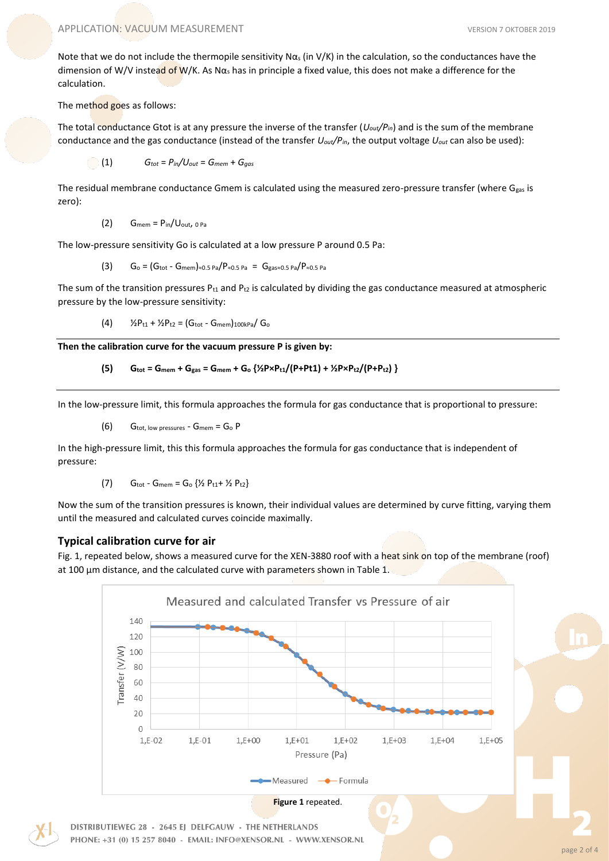Note that we do not include the thermopile sensitivity N $\alpha_s$  (in V/K) in the calculation, so the conductances have the dimension of W/V instead of W/K. As N $\alpha_s$  has in principle a fixed value, this does not make a difference for the calculation.

#### The method goes as follows:

The total conductance Gtot is at any pressure the inverse of the transfer (*Uout/Pin*) and is the sum of the membrane conductance and the gas conductance (instead of the transfer *Uout/Pin*, the output voltage *Uout* can also be used):

 $G_{tot} = P_{in}/U_{out} = G_{mem} + G_{gas}$ 

The residual membrane conductance Gmem is calculated using the measured zero-pressure transfer (where G<sub>gas</sub> is zero):

 $(2)$  Gmem =  $P_{in}/U_{out}$ , 0 Pa

The low-pressure sensitivity Go is calculated at a low pressure P around 0.5 Pa:

$$
(3) \qquad G_{o} = (G_{\text{tot}} - G_{\text{mem}})_{\approx 0.5 \text{ Pa}} / P_{\approx 0.5 \text{ Pa}} \; = \; G_{\text{gas} \approx 0.5 \text{ Pa}} / P_{\approx 0.5 \text{ Pa}}
$$

The sum of the transition pressures  $P_{t1}$  and  $P_{t2}$  is calculated by dividing the gas conductance measured at atmospheric pressure by the low-pressure sensitivity:

(4)  $\frac{1}{2}P_{t1} + \frac{1}{2}P_{t2} = (G_{tot} - G_{mem})_{100kPa} / G_0$ 

**Then the calibration curve for the vacuum pressure P is given by:** 

(5) 
$$
G_{\text{tot}} = G_{\text{mem}} + G_{\text{gas}} = G_{\text{mem}} + G_0 \left\{ \frac{1}{2} P \times P_{t1} / (P + P t1) + \frac{1}{2} P \times P_{t2} / (P + P_{t2}) \right\}
$$

In the low-pressure limit, this formula approaches the formula for gas conductance that is proportional to pressure:

(6) Gtot, low pressures - Gmem = G<sup>o</sup> P

In the high-pressure limit, this this formula approaches the formula for gas conductance that is independent of pressure:

(7) 
$$
G_{\text{tot}} - G_{\text{mem}} = G_0 \{ \frac{1}{2} P_{t1} + \frac{1}{2} P_{t2} \}
$$

Now the sum of the transition pressures is known, their individual values are determined by curve fitting, varying them until the measured and calculated curves coincide maximally.

# **Typical calibration curve for air**

Fig. 1, repeated below, shows a measured curve for the XEN-3880 roof with a heat sink on top of the membrane (roof) at 100  $\mu$ m distance, and the calculated curve with parameters shown in Table 1.

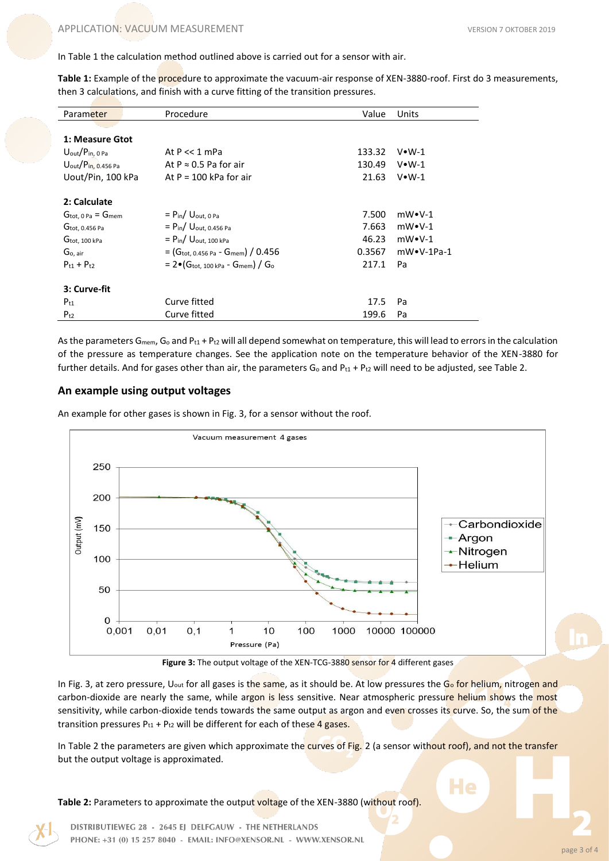In Table 1 the calculation method outlined above is carried out for a sensor with air.

**Table 1:** Example of the procedure to approximate the vacuum-air response of XEN-3880-roof. First do 3 measurements, then 3 calculations, and finish with a curve fitting of the transition pressures.

| Parameter                                | Procedure                                                                     | Value  | Units             |
|------------------------------------------|-------------------------------------------------------------------------------|--------|-------------------|
|                                          |                                                                               |        |                   |
| 1: Measure Gtot                          |                                                                               |        |                   |
| $U_{\text{out}}/P_{\text{in, 0 Pa}}$     | At $P \ll 1$ mPa                                                              | 133.32 | $V•W-1$           |
| $U_{\text{out}}/P_{\text{in, 0.456 Pa}}$ | At $P \approx 0.5$ Pa for air                                                 | 130.49 | $V•W-1$           |
| Uout/Pin, 100 kPa                        | At $P = 100$ kPa for air                                                      | 21.63  | $V•W-1$           |
| 2: Calculate                             |                                                                               |        |                   |
| $G_{\text{tot. 0 Pa}} = G_{\text{mem}}$  | $=$ Pin/ Uout. 0 Pa                                                           | 7.500  | $mW\cdot V-1$     |
| $G_{\text{tot}, 0.456}$ Pa               | $= P_{in}/ U_{out, 0.456 Pa}$                                                 | 7.663  | $mW\cdot V-1$     |
| $G_{\text{tot}, 100}$ kPa                | $=$ Pin/ Uout. 100 kPa                                                        | 46.23  | $mW\cdot V-1$     |
| Go, air                                  | $=$ (G <sub>tot, 0.456 Pa</sub> - G <sub>mem</sub> ) / 0.456                  | 0.3567 | $mW\cdot V-1Pa-1$ |
| $P_{t1} + P_{t2}$                        | $= 2 \cdot (G_{\text{tot}, 100 \text{ kPa}} - G_{\text{mem}}) / G_{\text{o}}$ | 217.1  | Pa                |
| 3: Curve-fit                             |                                                                               |        |                   |
| $P_{t1}$                                 | Curve fitted                                                                  | 17.5   | Pa                |
| $P_{t2}$                                 | Curve fitted                                                                  | 199.6  | Pa                |

As the parameters G<sub>mem</sub>, G<sub>o</sub> and P<sub>t1</sub> + P<sub>t2</sub> will all depend somewhat on temperature, this will lead to errors in the calculation of the pressure as temperature changes. See the application note on the temperature behavior of the XEN-3880 for further details. And for gases other than air, the parameters  $G_0$  and  $P_{t1}$  +  $P_{t2}$  will need to be adjusted, see Table 2.

## **An example using output voltages**

An example for other gases is shown in Fig. 3, for a sensor without the roof.



Figure 3: The output voltage of the XEN-TCG-3880 sensor for 4 different gases

In Fig. 3, at zero pressure, U<sub>out</sub> for all gases is the same, as it should be. At low pressures the G<sub>o</sub> for helium, nitrogen and carbon-dioxide are nearly the same, while argon is less sensitive. Near atmospheric pressure helium shows the most sensitivity, while carbon-dioxide tends towards the same output as argon and even crosses its curve. So, the sum of the transition pressures  $P_{t1}$  +  $P_{t2}$  will be different for each of these 4 gases.

In Table 2 the parameters are given which approximate the curves of Fig. 2 (a sensor without roof), and not the transfer but the output voltage is approximated.

**Table 2:** Parameters to approximate the output voltage of the XEN-3880 (without roof).